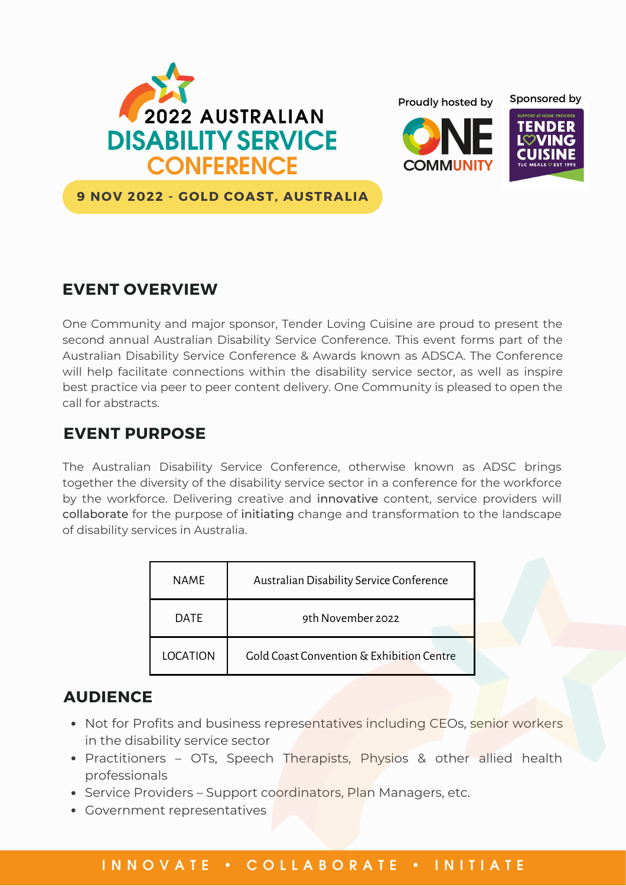







**9 NOV 2022 - GOLD COAST, AUSTRALIA**

# **EVENT OVERVIEW**

One Community and major sponsor, Tender Loving Cuisine are proud to present the second annual Australian Disability Service Conference. This event forms part of the Australian Disability Service Conference & Awards known as ADSCA. The Conference will help facilitate connections within the disability service sector, as well as inspire best practice via peer to peer content delivery. One Community is pleased to open the call for abstracts.

### **EVENT PURPOSE**

The Australian Disability Service Conference, otherwise known as ADSC brings together the diversity of the disability service sector in a conference for the workforce by the workforce. Delivering creative and innovative content, service providers will collaborate for the purpose of initiating change and transformation to the landscape of disability services in Australia.

| <b>NAME</b>     | Australian Disability Service Conference  |  |
|-----------------|-------------------------------------------|--|
| <b>DATE</b>     | 9th November 2022                         |  |
| <b>LOCATION</b> | Gold Coast Convention & Exhibition Centre |  |

# **AUDIENCE**

- Not for Profits and business representatives including CEOs, senior workers in the disability service sector
- Practitioners OTs, Speech Therapists, Physios & other allied health professionals
- Service Providers Support coordinators, Plan Managers, etc.
- Government representatives

#### INNOVATE • COLLABORATE • INITIATE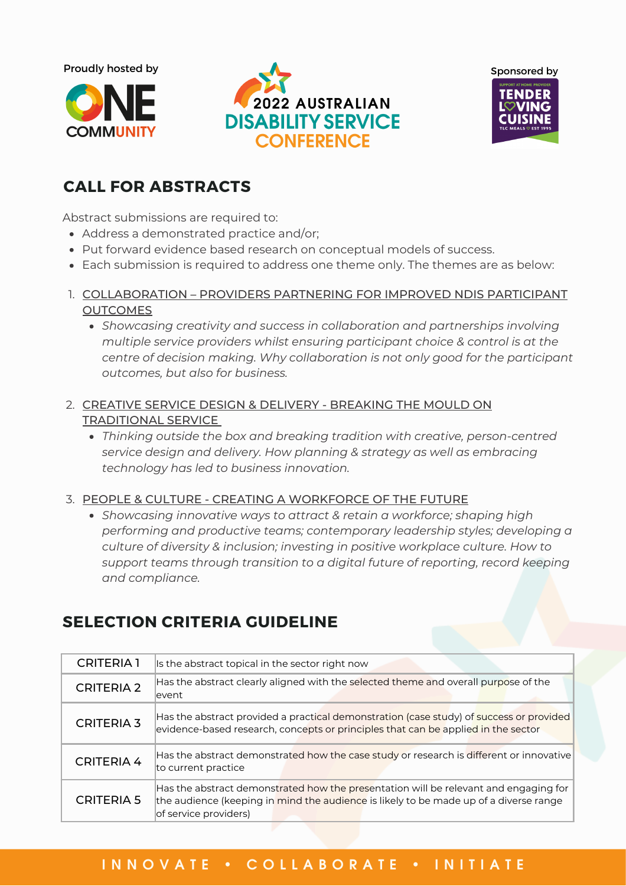Proudly hosted by







# **CALL FOR ABSTRACTS**

Abstract submissions are required to:

- Address a demonstrated practice and/or;
- Put forward evidence based research on conceptual models of success.
- Each submission is required to address one theme only. The themes are as below:
- 1. <u>COLLABORATION PROVIDERS PARTNERING FOR IMPROVED NDIS PARTICIPANT</u> **OUTCOMES** 
	- *Showcasing creativity and success in collaboration and partnerships involving multiple service providers whilst ensuring participant choice & control is at the centre of decision making. Why collaboration is not only good for the participant outcomes, but also for business.*
- 2. CREATIVE SERVICE DESIGN & DELIVERY BREAKING THE MOULD ON TRADITIONAL SERVICE
	- *Thinking outside the box and breaking tradition with creative, person-centred service design and delivery. How planning & strategy as well as embracing technology has led to business innovation.*

#### 3. PEOPLE & CULTURE - CREATING A WORKFORCE OF THE FUTURE

*Showcasing innovative ways to attract & retain a workforce; shaping high performing and productive teams; contemporary leadership styles; developing a culture of diversity & inclusion; investing in positive workplace culture. How to support teams through transition to a digital future of reporting, record keeping and compliance.*

# **SELECTION CRITERIA GUIDELINE**

| <b>CRITERIA 1</b> | Is the abstract topical in the sector right now                                                                                                                                                        |  |
|-------------------|--------------------------------------------------------------------------------------------------------------------------------------------------------------------------------------------------------|--|
| <b>CRITERIA 2</b> | Has the abstract clearly aligned with the selected theme and overall purpose of the<br>levent                                                                                                          |  |
| <b>CRITERIA 3</b> | Has the abstract provided a practical demonstration (case study) of success or provided<br>evidence-based research, concepts or principles that can be applied in the sector                           |  |
| <b>CRITERIA 4</b> | Has the abstract demonstrated how the case study or research is different or innovative<br>to current practice                                                                                         |  |
| <b>CRITERIA 5</b> | Has the abstract demonstrated how the presentation will be relevant and engaging for<br>the audience (keeping in mind the audience is likely to be made up of a diverse range<br>of service providers) |  |

### I N N O V A T E · C O L L A B O R A T E · I N I T I A T E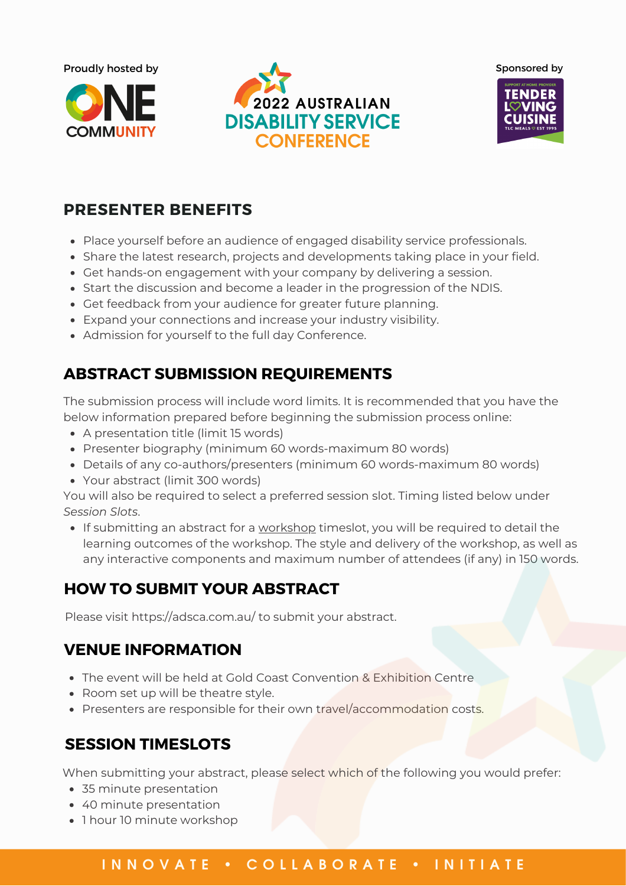







## **PRESENTER BENEFITS**

- Place yourself before an audience of engaged disability service professionals.
- Share the latest research, projects and developments taking place in your field.
- Get hands-on engagement with your company by delivering a session.
- Start the discussion and become a leader in the progression of the NDIS.
- Get feedback from your audience for greater future planning.
- Expand your connections and increase your industry visibility.
- Admission for yourself to the full day Conference.

# **ABSTRACT SUBMISSION REQUIREMENTS**

The submission process will include word limits. It is recommended that you have the below information prepared before beginning the submission process online:

- A presentation title (limit 15 words)
- Presenter biography (minimum 60 words-maximum 80 words)
- Details of any co-authors/presenters (minimum 60 words-maximum 80 words)
- Your abstract (limit 300 words)

You will also be required to select a preferred session slot. Timing listed below under *Session Slots*.

If submitting an abstract for a workshop timeslot, you will be required to detail the learning outcomes of the workshop. The style and delivery of the workshop, as well as any interactive components and maximum number of attendees (if any) in 150 words.

# **HOW TO SUBMIT YOUR ABSTRACT**

Please visit https://adsca.com.au/ to submit your abstract.

### **VENUE INFORMATION**

- The event will be held at Gold Coast Convention & Exhibition Centre
- Room set up will be theatre style.
- Presenters are responsible for their own travel/accommodation costs.

### **SESSION TIMESLOTS**

When submitting your abstract, please select which of the following you would prefer:

- 35 minute presentation
- 40 minute presentation
- 1 hour 10 minute workshop

#### I N N O V A T E · C O L L A B O R A T E · I N I T I A T E